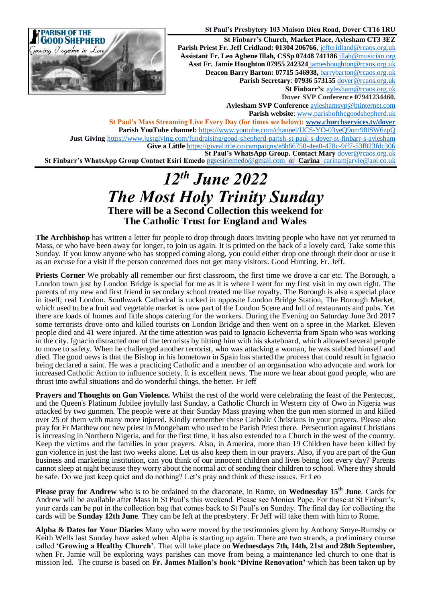

**St Paul's Presbytery 103 Maison Dieu Road, Dover CT16 1RU St Finbarr's Church, Market Place, Aylesham CT3 3EZ** Parish Priest Fr. Jeff Cridland: 01304 206766[, jeffcridland@rcaos.org.uk](mailto:jeffcridland@rcaos.org.uk) **Assistant Fr. Leo Agbene Illah, CSSp 07448 741186** [illah@musician.org](mailto:illah@musician.org) **Asst Fr. Jamie Houghton 07955 242324** [jameshoughton@rcaos.org.uk](mailto:jameshoughton@rcaos.org.uk) **Deacon Barry Barton: 07715 546938,** [barrybarton@rcaos.org.uk](mailto:barrybarton@rcaos.org.uk) **Parish Secretary**: **07936 573155** [dover@rcaos.org.uk](mailto:dover@rcaos.org.uk) **St Finbarr's**[: aylesham@rcaos.org.uk](mailto:aylesham@rcaos.org.uk) **Dover SVP Conference 07941234460. Aylesham SVP Conference** [ayleshamsvp@btinternet.com](mailto:ayleshamsvp@btinternet.com) **Parish website**: [www.parishofthegoodshepherd.uk](http://www.parishofthegoodshepherd.uk/) **St Paul's Mass Streaming Live Every Day (for times see below): [www.churchservices.tv/dover](http://www.churchservices.tv/dover)**

**Parish YouTube channel:** <https://www.youtube.com/channel/UCS-YO-03yeQ9om98lSW6zpQ> **Just Giving** <https://www.justgiving.com/fundraising/good-shepherd-parish-st-paul-s-dover-st-finbarr-s-aylesham> **Give a Little** <https://givealittle.co/campaigns/e8b66750-4ea0-478c-9ff7-53f823fdc306> **St Paul's WhatsApp Group. Contact Mary** [dover@rcaos.org.uk](mailto:dover@rcaos.org.uk) **St Finbarr's WhatsApp Group Contact Esiri Emedo** [pgsesiriemedo@gmail.com](mailto:pgsesiriemedo@gmail.com) or **Carina** [carinamjarvie@aol.co.uk](mailto:carinamjarvie@aol.co.uk)

## *12th June 2022 The Most Holy Trinity Sunday* **There will be a Second Collection this weekend for The Catholic Trust for England and Wales**

**The Archbishop** has written a letter for people to drop through doors inviting people who have not yet returned to Mass, or who have been away for longer, to join us again. It is printed on the back of a lovely card, Take some this Sunday. If you know anyone who has stopped coming along, you could either drop one through their door or use it as an excuse for a visit if the person concerned does not get many visitors. Good Hunting. Fr. Jeff.

**Priests Corner** We probably all remember our first classroom, the first time we drove a car etc. The Borough, a London town just by London Bridge is special for me as it is where I went for my first visit in my own right. The parents of my new and first friend in secondary school treated me like royalty. The Borough is also a special place in itself; real London. Southwark Cathedral is tucked in opposite London Bridge Station, The Borough Market, which used to be a fruit and vegetable market is now part of the London Scene and full of restaurants and pubs. Yet there are loads of homes and little shops catering for the workers. During the Evening on Saturday June 3rd 2017 some terrorists drove onto and killed tourists on London Bridge and then went on a spree in the Market. Eleven people died and 41 were injured. At the time attention was paid to Ignacio Echeverria from Spain who was working in the city. Ignacio distracted one of the terrorists by hitting him with his skateboard, which allowed several people to move to safety. When he challenged another terrorist, who was attacking a woman, he was stabbed himself and died. The good news is that the Bishop in his hometown in Spain has started the process that could result in Ignacio being declared a saint. He was a practicing Catholic and a member of an organisation who advocate and work for increased Catholic Action to influence society. It is excellent news. The more we hear about good people, who are thrust into awful situations and do wonderful things, the better. Fr Jeff

**Prayers and Thoughts on Gun Violence.** Whilst the rest of the world were celebrating the feast of the Pentecost, and the Queen's Platinum Jubilee joyfully last Sunday, a Catholic Church in Western city of Owo in Nigeria was attacked by two gunmen. The people were at their Sunday Mass praying when the gun men stormed in and killed over 25 of them with many more injured. Kindly remember these Catholic Christians in your prayers. Please also pray for Fr Matthew our new priest in Mongeham who used to be Parish Priest there. Persecution against Christians is increasing in Northern Nigeria, and for the first time, it has also extended to a Church in the west of the country. Keep the victims and the families in your prayers. Also, in America, more than 19 Children have been killed by gun violence in just the last two weeks alone. Let us also keep them in our prayers. Also, if you are part of the Gun business and marketing institution, can you think of our innocent children and lives being lost every day? Parents cannot sleep at night because they worry about the normal act of sending their children to school. Where they should be safe. Do we just keep quiet and do nothing? Let's pray and think of these issues. Fr Leo

**Please pray for Andrew** who is to be ordained to the diaconate, in Rome, on **Wednesday 15th June**. Cards for Andrew will be available after Mass in St Paul's this weekend. Please see Monica Pope. For those at St Finbarr's, your cards can be put in the collection bag that comes back to St Paul's on Sunday. The final day for collecting the cards will be **Sunday 12th June**. They can be left at the presbytery. Fr Jeff will take them with him to Rome.

**Alpha & Dates for Your Diaries** Many who were moved by the testimonies given by Anthony Smye-Rumsby or Keith Wells last Sunday have asked when Alpha is starting up again. There are two strands, a preliminary course called '**Growing a Healthy Church'**. That will take place on **Wednesdays 7th, 14th, 21st and 28th September,** when Fr. Jamie will be exploring ways parishes can move from being a maintenance led church to one that is mission led. The course is based on **Fr. James Mallon's book 'Divine Renovation'** which has been taken up by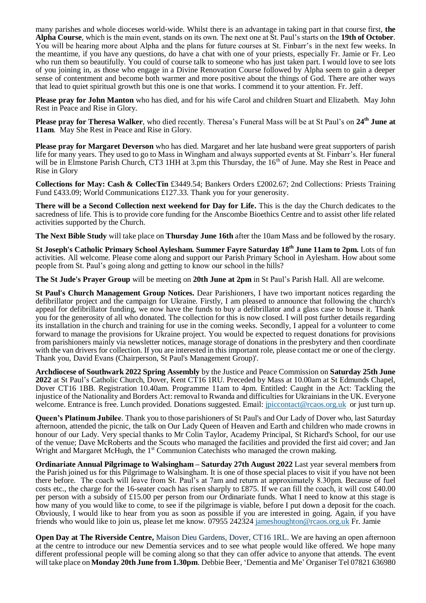many parishes and whole dioceses world-wide. Whilst there is an advantage in taking part in that course first, **the Alpha Course**, which is the main event, stands on its own. The next one at St. Paul's starts on the **19th of October**. You will be hearing more about Alpha and the plans for future courses at St. Finbarr's in the next few weeks. In the meantime, if you have any questions, do have a chat with one of your priests, especially Fr. Jamie or Fr. Leo who run them so beautifully. You could of course talk to someone who has just taken part. I would love to see lots of you joining in, as those who engage in a Divine Renovation Course followed by Alpha seem to gain a deeper sense of contentment and become both warmer and more positive about the things of God. There are other ways that lead to quiet spiritual growth but this one is one that works. I commend it to your attention. Fr. Jeff.

**Please pray for John Manton** who has died, and for his wife Carol and children Stuart and Elizabeth. May John Rest in Peace and Rise in Glory.

**Please pray for Theresa Walker**, who died recently. Theresa's Funeral Mass will be at St Paul's on **24th June at 11am**. May She Rest in Peace and Rise in Glory.

**Please pray for Margaret Deverson** who has died. Margaret and her late husband were great supporters of parish life for many years. They used to go to Mass in Wingham and always supported events at St. Finbarr's. Her funeral will be in Elmstone Parish Church, CT3 1HH at 3.pm this Thursday, the 16<sup>th</sup> of June. May she Rest in Peace and Rise in Glory

**Collections for May: Cash & CollecTin** £3449.54; Bankers Orders £2002.67; 2nd Collections: Priests Training Fund £433.09; World Communications £127.33. Thank you for your generosity.

**There will be a Second Collection next weekend for Day for Life.** This is the day the Church dedicates to the sacredness of life. This is to provide core funding for the Anscombe Bioethics Centre and to assist other life related activities supported by the Church.

**The Next Bible Study** will take place on **Thursday June 16th** after the 10am Mass and be followed by the rosary.

**St Joseph's Catholic Primary School Aylesham. Summer Fayre Saturday 18 th June 11am to 2pm.** Lots of fun activities. All welcome. Please come along and support our Parish Primary School in Aylesham. How about some people from St. Paul's going along and getting to know our school in the hills?

**The St Jude's Prayer Group** will be meeting on **20th June at 2pm** in St Paul's Parish Hall. All are welcome.

**St Paul's Church Management Group Notices.** Dear Parishioners, I have two important notices regarding the defibrillator project and the campaign for Ukraine. Firstly, I am pleased to announce that following the church's appeal for defibrillator funding, we now have the funds to buy a defibrillator and a glass case to house it. Thank you for the generosity of all who donated. The collection for this is now closed. I will post further details regarding its installation in the church and training for use in the coming weeks. Secondly, I appeal for a volunteer to come forward to manage the provisions for Ukraine project. You would be expected to request donations for provisions from parishioners mainly via newsletter notices, manage storage of donations in the presbytery and then coordinate with the van drivers for collection. If you are interested in this important role, please contact me or one of the clergy. Thank you, David Evans (Chairperson, St Paul's Management Group)'.

**Archdiocese of Southwark 2022 Spring Assembly** by the Justice and Peace Commission on **Saturday 25th June 2022** at St Paul's Catholic Church, Dover, Kent CT16 1RU. Preceded by Mass at 10.00am at St Edmunds Chapel, Dover CT16 1BB. Registration 10.40am. Programme 11am to 4pm. Entitled: Caught in the Act: Tackling the injustice of the Nationality and Borders Act: removal to Rwanda and difficulties for Ukrainians in the UK. Everyone welcome. Entrance is free. Lunch provided. Donations suggested. Email: *jpiccontact@rcaos.org.uk* or just turn up.

**Queen's Platinum Jubilee**. Thank you to those parishioners of St Paul's and Our Lady of Dover who, last Saturday afternoon, attended the picnic, the talk on Our Lady Queen of Heaven and Earth and children who made crowns in honour of our Lady. Very special thanks to Mr Colin Taylor, Academy Principal, St Richard's School, for our use of the venue; Dave McRoberts and the Scouts who managed the facilities and provided the first aid cover; and Jan Wright and Margaret McHugh, the  $1<sup>st</sup>$  Communion Catechists who managed the crown making.

**Ordinariate Annual Pilgrimage to Walsingham – Saturday 27th August 2022** Last year several member**s** from the Parish joined us for this Pilgrimage to Walsingham. It is one of those special places to visit if you have not been there before. The coach will leave from St. Paul's at 7am and return at approximately 8.30pm. Because of fuel costs etc., the charge for the 16-seater coach has risen sharply to £875. If we can fill the coach, it will cost £40.00 per person with a subsidy of £15.00 per person from our Ordinariate funds. What I need to know at this stage is how many of you would like to come, to see if the pilgrimage is viable, before I put down a deposit for the coach. Obviously, I would like to hear from you as soon as possible if you are interested in going. Again, if you have friends who would like to join us, please let me know. 07955 24232[4 jameshoughton@rcaos.org.uk](mailto:jameshoughton@rcaos.org.uk) Fr. Jamie

**Open Day at The Riverside Centre,** Maison Dieu Gardens, Dover, CT16 1RL. We are having an open afternoon at the centre to introduce our new Dementia services and to see what people would like offered. We hope many different professional people will be coming along so that they can offer advice to anyone that attends. The event will take place on **Monday 20th June from 1.30pm**. Debbie Beer, 'Dementia and Me' Organiser Tel 07821 636980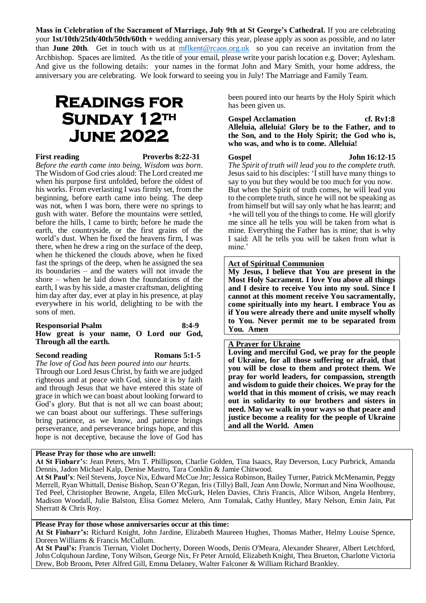**Mass in Celebration of the Sacrament of Marriage, July 9th at St George's Cathedral.** If you are celebrating your **1st/10th/25th/40th/50th/60th +** wedding anniversary this year, please apply as soon as possible, and no later than **June 20th**. Get in touch with us at [mflkent@rcaos.org.uk](mailto:mflkent@rcaos.org.uk) so you can receive an invitation from the Archbishop. Spaces are limited. As the title of your email, please write your parish location e.g. Dover; Aylesham. And give us the following details: your names in the format John and Mary Smith, your home address, the anniversary you are celebrating. We look forward to seeing you in July! The Marriage and Family Team.

# **Readings for**  SUNDAY 12<sup>TH</sup> **June 2022**

#### **First reading Proverbs 8:22-31**

*Before the earth came into being, Wisdom was born*. The Wisdom of God cries aloud: The Lord created me when his purpose first unfolded, before the oldest of his works. From everlasting I was firmly set, from the beginning, before earth came into being. The deep was not, when I was born, there were no springs to gush with water. Before the mountains were settled, before the hills, I came to birth; before he made the earth, the countryside, or the first grains of the world's dust. When he fixed the heavens firm, I was there, when he drew a ring on the surface of the deep, when he thickened the clouds above, when he fixed fast the springs of the deep, when he assigned the sea its boundaries – and the waters will not invade the shore – when he laid down the foundations of the earth, I was by his side, a master craftsman, delighting him day after day, ever at play in his presence, at play everywhere in his world, delighting to be with the sons of men.

#### **Responsorial Psalm 8:4-9 How great is your name, O Lord our God, Through all the earth.**

#### **Second reading Romans 5:1-5**

*The love of God has been poured into our hearts.* Through our Lord Jesus Christ, by faith we are judged righteous and at peace with God, since it is by faith and through Jesus that we have entered this state of grace in which we can boast about looking forward to God's glory. But that is not all we can boast about; we can boast about our sufferings. These sufferings bring patience, as we know, and patience brings perseverance, and perseverance brings hope, and this hope is not deceptive, because the love of God has

### **Please Pray for those who are unwell:**

been poured into our hearts by the Holy Spirit which has been given us.

### Gospel Acclamation cf. Rv1:8 **Alleluia, alleluia! Glory be to the Father, and to the Son, and to the Holy Spirit; the God who is, who was, and who is to come. Alleluia!**

**Gospel John 16:12-15** 

*The Spirit of truth will lead you to the complete truth.* Jesus said to his disciples: 'I still have many things to say to you but they would be too much for you now. But when the Spirit of truth comes, he will lead you to the complete truth, since he will not be speaking as from himself but will say only what he has learnt; and +he will tell you of the things to come. He will glorify me since all he tells you will be taken from what is mine. Everything the Father has is mine; that is why I said: All he tells you will be taken from what is mine.'

### **Act of Spiritual Communion**

**My Jesus, I believe that You are present in the Most Holy Sacrament. I love You above all things and I desire to receive You into my soul. Since I cannot at this moment receive You sacramentally, come spiritually into my heart. I embrace You as if You were already there and unite myself wholly to You. Never permit me to be separated from You. Amen**

### **A Prayer for Ukraine**

**Loving and merciful God, we pray for the people of Ukraine, for all those suffering or afraid, that you will be close to them and protect them. We pray for world leaders, for compassion, strength and wisdom to guide their choices. We pray for the world that in this moment of crisis, we may reach out in solidarity to our brothers and sisters in need. May we walk in your ways so that peace and justice become a reality for the people of Ukraine and all the World. Amen**

**At St Finbarr'**s: Jean Peters, Mrs T. Phillipson, Charlie Golden, Tina Isaacs, Ray Deverson, Lucy Purbrick, Amanda Dennis, Jadon Michael Kalp, Denise Mastro, Tara Conklin & Jamie Chitwood.

**At St Paul's**: Neil Stevens, Joyce Nix, Edward McCue Jnr; Jessica Robinson, Bailey Turner, Patrick McMenamin, Peggy Merrell, Ryan Whittall, Denise Bishop, Sean O'Regan, Iris (Tilly) Ball, Jean Ann Dowle, Norman and Nina Woolhouse, Ted Peel, Christopher Browne, Angela, Ellen McGurk, Helen Davies, Chris Francis, Alice Wilson, Angela Henbrey, Madison Woodall, Julie Balston, Elisa Gomez Melero, Ann Tomalak, Cathy Huntley, Mary Nelson, Emin Jain, Pat Sherratt & Chris Roy.

#### **Please Pray for those whose anniversaries occur at this time:**

**At St Finbarr's:** Richard Knight, John Jardine, Elizabeth Maureen Hughes, Thomas Mather, Helmy Louise Spence, Doreen Williams & Francis McCullum.

**At St Paul's:** Francis Tiernan, Violet Docherty, Doreen Woods, Denis O'Meara, Alexander Shearer, Albert Letchford, John Colquhoun Jardine, Tony Wilson, George Nix, Fr Peter Arnold, Elizabeth Knight, Thea Brueton, Charlotte Victoria Drew, Bob Broom, Peter Alfred Gill, Emma Delaney, Walter Falconer & William Richard Brankley.